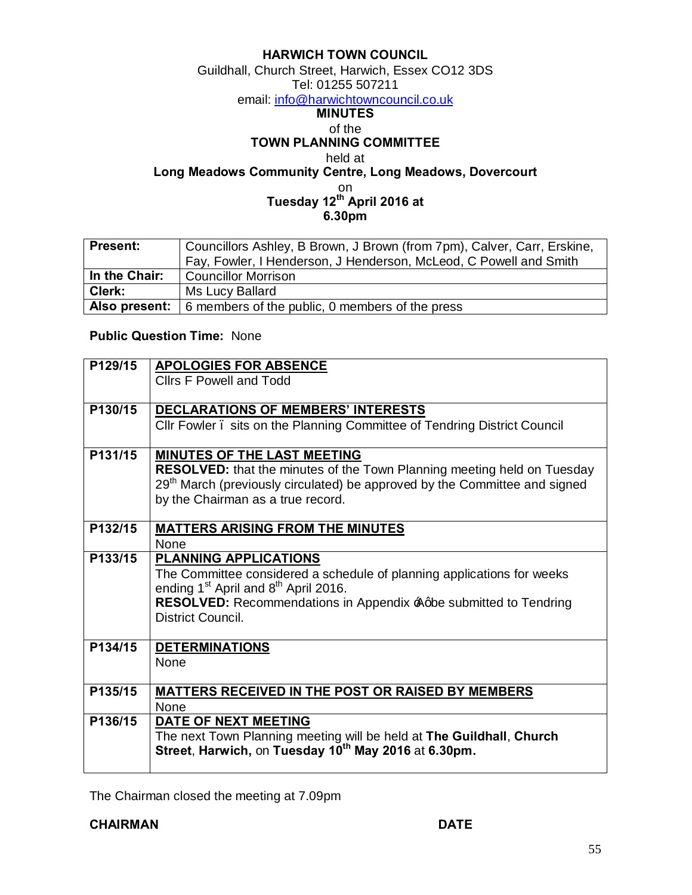### **HARWICH TOWN COUNCIL**

Guildhall, Church Street, Harwich, Essex CO12 3DS Tel: 01255 507211

em[ail: info@harwichtowncouncil.co.uk](mailto:info@harwichtowncouncil.co.uk)

## **MINUTES**

#### of the

**TOWN PLANNING COMMITTEE**

held at

**Long Meadows Community Centre, Long Meadows, Dovercourt**

on

**Tuesday 12th April 2016 at 6.30pm**

| <b>Present:</b> | Councillors Ashley, B Brown, J Brown (from 7pm), Calver, Carr, Erskine, |  |  |
|-----------------|-------------------------------------------------------------------------|--|--|
|                 | Fay, Fowler, I Henderson, J Henderson, McLeod, C Powell and Smith       |  |  |
| In the Chair:   | <b>Councillor Morrison</b>                                              |  |  |
| Clerk:          | Ms Lucy Ballard                                                         |  |  |
| Also present:   | 6 members of the public, 0 members of the press                         |  |  |

### **Public Question Time:** None

| P129/15 | <b>APOLOGIES FOR ABSENCE</b>                                                           |  |  |
|---------|----------------------------------------------------------------------------------------|--|--|
|         | <b>Clirs F Powell and Todd</b>                                                         |  |  |
|         |                                                                                        |  |  |
| P130/15 | <b>DECLARATIONS OF MEMBERS' INTERESTS</b>                                              |  |  |
|         | CIIr Fowler. sits on the Planning Committee of Tendring District Council               |  |  |
|         |                                                                                        |  |  |
| P131/15 | <b>MINUTES OF THE LAST MEETING</b>                                                     |  |  |
|         | <b>RESOLVED:</b> that the minutes of the Town Planning meeting held on Tuesday         |  |  |
|         | 29 <sup>th</sup> March (previously circulated) be approved by the Committee and signed |  |  |
|         | by the Chairman as a true record.                                                      |  |  |
|         |                                                                                        |  |  |
| P132/15 | <b>MATTERS ARISING FROM THE MINUTES</b>                                                |  |  |
|         | <b>None</b>                                                                            |  |  |
| P133/15 | <b>PLANNING APPLICATIONS</b>                                                           |  |  |
|         | The Committee considered a schedule of planning applications for weeks                 |  |  |
|         | ending 1 <sup>st</sup> April and 8 <sup>th</sup> April 2016.                           |  |  |
|         | RESOLVED: Recommendations in Appendix Agbe submitted to Tendring                       |  |  |
|         | District Council.                                                                      |  |  |
| P134/15 | <b>DETERMINATIONS</b>                                                                  |  |  |
|         | <b>None</b>                                                                            |  |  |
|         |                                                                                        |  |  |
| P135/15 | <b>MATTERS RECEIVED IN THE POST OR RAISED BY MEMBERS</b>                               |  |  |
|         | None                                                                                   |  |  |
| P136/15 | DATE OF NEXT MEETING                                                                   |  |  |
|         | The next Town Planning meeting will be held at The Guildhall, Church                   |  |  |
|         | Street, Harwich, on Tuesday 10 <sup>th</sup> May 2016 at 6.30pm.                       |  |  |
|         |                                                                                        |  |  |

The Chairman closed the meeting at 7.09pm

**CHAIRMAN DATE**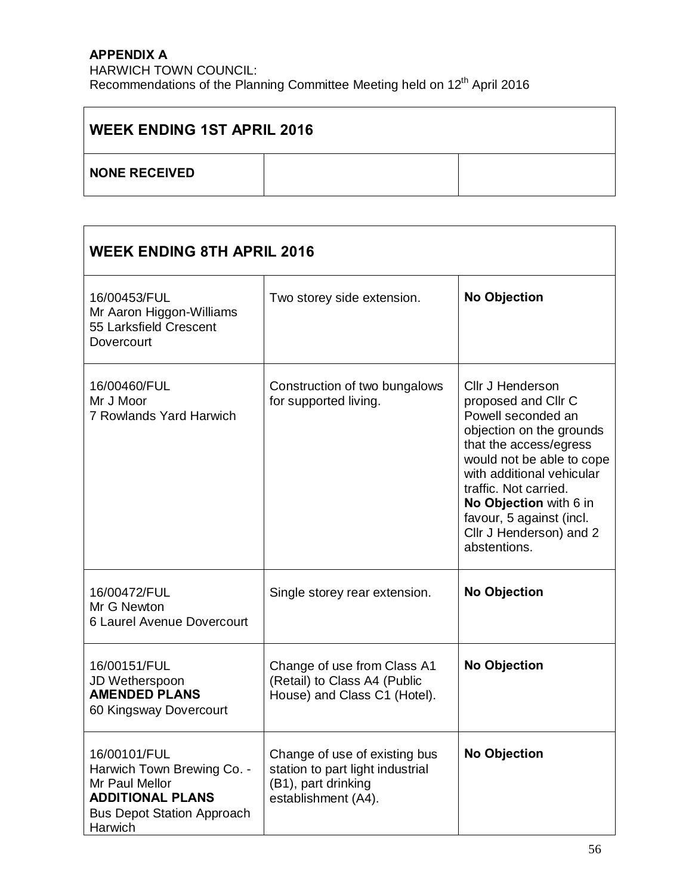# **APPENDIX A**

HARWICH TOWN COUNCIL: Recommendations of the Planning Committee Meeting held on 12<sup>th</sup> April 2016

| <b>WEEK ENDING 1ST APRIL 2016</b> |  |  |  |  |  |
|-----------------------------------|--|--|--|--|--|
| <b>NONE RECEIVED</b>              |  |  |  |  |  |

| <b>WEEK ENDING 8TH APRIL 2016</b>                                                                                                       |                                                                                                                 |                                                                                                                                                                                                                                                                                                         |  |  |
|-----------------------------------------------------------------------------------------------------------------------------------------|-----------------------------------------------------------------------------------------------------------------|---------------------------------------------------------------------------------------------------------------------------------------------------------------------------------------------------------------------------------------------------------------------------------------------------------|--|--|
| 16/00453/FUL<br>Mr Aaron Higgon-Williams<br>55 Larksfield Crescent<br>Dovercourt                                                        | Two storey side extension.                                                                                      | <b>No Objection</b>                                                                                                                                                                                                                                                                                     |  |  |
| 16/00460/FUL<br>Mr J Moor<br>7 Rowlands Yard Harwich                                                                                    | Construction of two bungalows<br>for supported living.                                                          | Cllr J Henderson<br>proposed and Cllr C<br>Powell seconded an<br>objection on the grounds<br>that the access/egress<br>would not be able to cope<br>with additional vehicular<br>traffic. Not carried.<br>No Objection with 6 in<br>favour, 5 against (incl.<br>Cllr J Henderson) and 2<br>abstentions. |  |  |
| 16/00472/FUL<br>Mr G Newton<br>6 Laurel Avenue Dovercourt                                                                               | Single storey rear extension.                                                                                   | <b>No Objection</b>                                                                                                                                                                                                                                                                                     |  |  |
| 16/00151/FUL<br>JD Wetherspoon<br><b>AMENDED PLANS</b><br>60 Kingsway Dovercourt                                                        | Change of use from Class A1<br>(Retail) to Class A4 (Public<br>House) and Class C1 (Hotel).                     | <b>No Objection</b>                                                                                                                                                                                                                                                                                     |  |  |
| 16/00101/FUL<br>Harwich Town Brewing Co. -<br>Mr Paul Mellor<br><b>ADDITIONAL PLANS</b><br><b>Bus Depot Station Approach</b><br>Harwich | Change of use of existing bus<br>station to part light industrial<br>(B1), part drinking<br>establishment (A4). | <b>No Objection</b>                                                                                                                                                                                                                                                                                     |  |  |